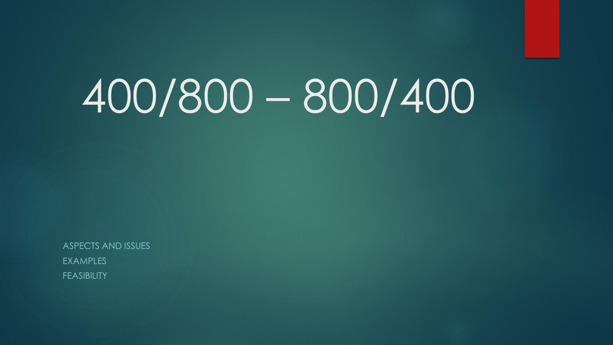# 400/800 – 800/400

ASPECTS AND ISSUES **EXAMPLES** FEASIBILITY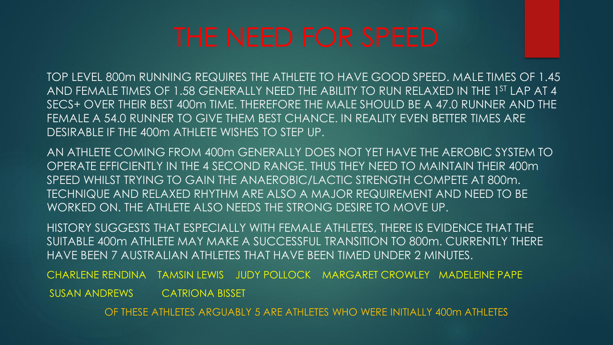TOP LEVEL 800m RUNNING REQUIRES THE ATHLETE TO HAVE GOOD SPEED. MALE TIMES OF 1.45 AND FEMALE TIMES OF 1.58 GENERALLY NEED THE ABILITY TO RUN RELAXED IN THE 1ST LAP AT 4 SECS+ OVER THEIR BEST 400m TIME. THEREFORE THE MALE SHOULD BE A 47.0 RUNNER AND THE FEMALE A 54.0 RUNNER TO GIVE THEM BEST CHANCE. IN REALITY EVEN BETTER TIMES ARE DESIRABLE IF THE 400m ATHLETE WISHES TO STEP UP.

AN ATHLETE COMING FROM 400m GENERALLY DOES NOT YET HAVE THE AEROBIC SYSTEM TO OPERATE EFFICIENTLY IN THE 4 SECOND RANGE. THUS THEY NEED TO MAINTAIN THEIR 400m SPEED WHILST TRYING TO GAIN THE ANAEROBIC/LACTIC STRENGTH COMPETE AT 800m. TECHNIQUE AND RELAXED RHYTHM ARE ALSO A MAJOR REQUIREMENT AND NEED TO BE WORKED ON. THE ATHLETE ALSO NEEDS THE STRONG DESIRE TO MOVE UP.

HISTORY SUGGESTS THAT ESPECIALLY WITH FEMALE ATHLETES, THERE IS EVIDENCE THAT THE SUITABLE 400m ATHLETE MAY MAKE A SUCCESSFUL TRANSITION TO 800m. CURRENTLY THERE HAVE BEEN 7 AUSTRALIAN ATHLETES THAT HAVE BEEN TIMED UNDER 2 MINUTES.

CHARLENE RENDINA TAMSIN LEWIS JUDY POLLOCK MARGARET CROWLEY MADELEINE PAPE

SUSAN ANDREWS CATRIONA BISSET

OF THESE ATHLETES ARGUABLY 5 ARE ATHLETES WHO WERE INITIALLY 400m ATHLETES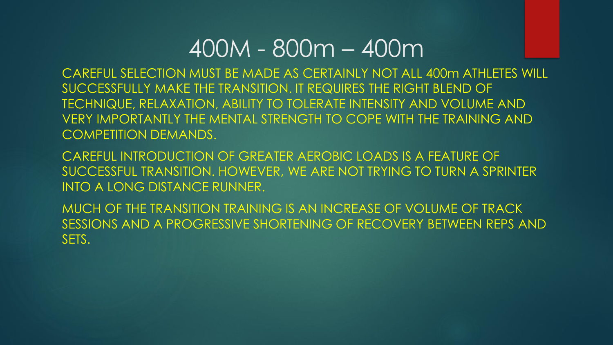# 400M - 800m – 400m

CAREFUL SELECTION MUST BE MADE AS CERTAINLY NOT ALL 400m ATHLETES WILL SUCCESSFULLY MAKE THE TRANSITION. IT REQUIRES THE RIGHT BLEND OF TECHNIQUE, RELAXATION, ABILITY TO TOLERATE INTENSITY AND VOLUME AND VERY IMPORTANTLY THE MENTAL STRENGTH TO COPE WITH THE TRAINING AND COMPETITION DEMANDS.

CAREFUL INTRODUCTION OF GREATER AEROBIC LOADS IS A FEATURE OF SUCCESSFUL TRANSITION. HOWEVER, WE ARE NOT TRYING TO TURN A SPRINTER INTO A LONG DISTANCE RUNNER.

MUCH OF THE TRANSITION TRAINING IS AN INCREASE OF VOLUME OF TRACK SESSIONS AND A PROGRESSIVE SHORTENING OF RECOVERY BETWEEN REPS AND SETS.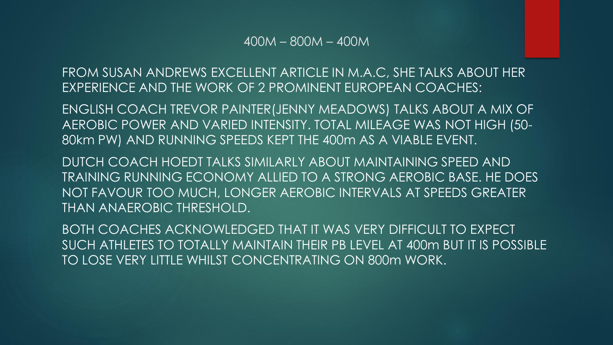FROM SUSAN ANDREWS EXCELLENT ARTICLE IN M.A.C, SHE TALKS ABOUT HER EXPERIENCE AND THE WORK OF 2 PROMINENT EUROPEAN COACHES:

ENGLISH COACH TREVOR PAINTER(JENNY MEADOWS) TALKS ABOUT A MIX OF AEROBIC POWER AND VARIED INTENSITY. TOTAL MILEAGE WAS NOT HIGH (50- 80km PW) AND RUNNING SPEEDS KEPT THE 400m AS A VIABLE EVENT.

DUTCH COACH HOEDT TALKS SIMILARLY ABOUT MAINTAINING SPEED AND TRAINING RUNNING ECONOMY ALLIED TO A STRONG AEROBIC BASE. HE DOES NOT FAVOUR TOO MUCH, LONGER AEROBIC INTERVALS AT SPEEDS GREATER THAN ANAEROBIC THRESHOLD.

BOTH COACHES ACKNOWLEDGED THAT IT WAS VERY DIFFICULT TO EXPECT SUCH ATHLETES TO TOTALLY MAINTAIN THEIR PB LEVEL AT 400m BUT IT IS POSSIBLE TO LOSE VERY LITTLE WHILST CONCENTRATING ON 800m WORK.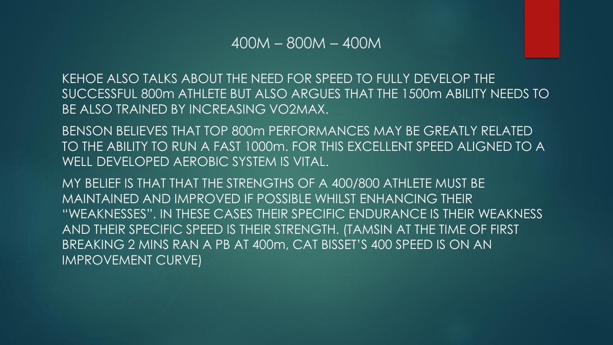KEHOE ALSO TALKS ABOUT THE NEED FOR SPEED TO FULLY DEVELOP THE SUCCESSFUL 800m ATHLETE BUT ALSO ARGUES THAT THE 1500m ABILITY NEEDS TO BE ALSO TRAINED BY INCREASING VO2MAX.

BENSON BELIEVES THAT TOP 800m PERFORMANCES MAY BE GREATLY RELATED TO THE ABILITY TO RUN A FAST 1000m. FOR THIS EXCELLENT SPEED ALIGNED TO A WELL DEVELOPED AEROBIC SYSTEM IS VITAL.

MY BELIEF IS THAT THAT THE STRENGTHS OF A 400/800 ATHLETE MUST BE MAINTAINED AND IMPROVED IF POSSIBLE WHILST ENHANCING THEIR "WEAKNESSES". IN THESE CASES THEIR SPECIFIC ENDURANCE IS THEIR WEAKNESS AND THEIR SPECIFIC SPEED IS THEIR STRENGTH. (TAMSIN AT THE TIME OF FIRST BREAKING 2 MINS RAN A PB AT 400m, CAT BISSET'S 400 SPEED IS ON AN IMPROVEMENT CURVE)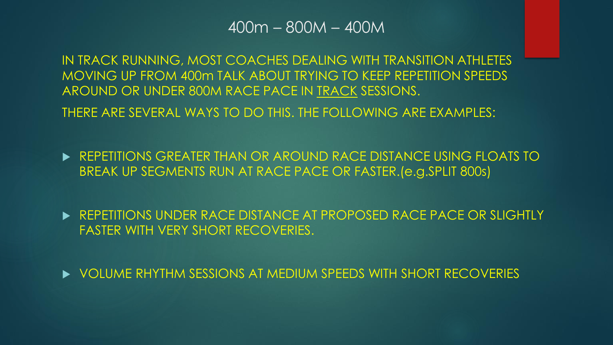IN TRACK RUNNING, MOST COACHES DEALING WITH TRANSITION ATHLETES MOVING UP FROM 400m TALK ABOUT TRYING TO KEEP REPETITION SPEEDS AROUND OR UNDER 800M RACE PACE IN TRACK SESSIONS.

THERE ARE SEVERAL WAYS TO DO THIS. THE FOLLOWING ARE EXAMPLES:

**EXECTED ASSESSED FOR AROUN AROUND RACE DISTANCE USING FLOATS TO** BREAK UP SEGMENTS RUN AT RACE PACE OR FASTER.(e.g.SPLIT 800s)

**EXECTED REPETITIONS UNDER RACE DISTANCE AT PROPOSED RACE PACE OR SLIGHTLY** FASTER WITH VERY SHORT RECOVERIES.

VOLUME RHYTHM SESSIONS AT MEDIUM SPEEDS WITH SHORT RECOVERIES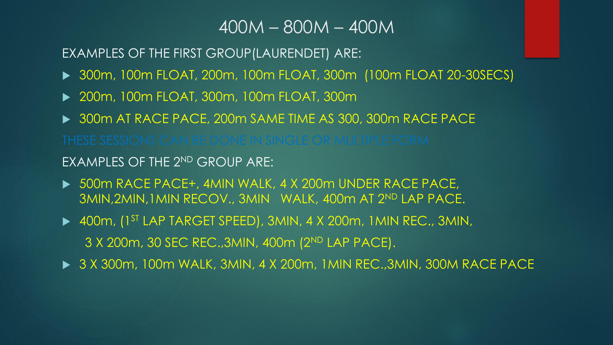EXAMPLES OF THE FIRST GROUP(LAURENDET) ARE:

- ▶ 300m, 100m FLOAT, 200m, 100m FLOAT, 300m (100m FLOAT 20-30SECS)
- ▶ 200m, 100m FLOAT, 300m, 100m FLOAT, 300m
- ▶ 300m AT RACE PACE, 200m SAME TIME AS 300, 300m RACE PACE

EXAMPLES OF THE 2ND GROUP ARE:

- ▶ 500m RACE PACE+, 4MIN WALK, 4 X 200m UNDER RACE PACE, 3MIN,2MIN,1MIN RECOV., 3MIN WALK, 400m AT 2ND LAP PACE.
- ▶ 400m, (1<sup>ST</sup> LAP TARGET SPEED), 3MIN, 4 X 200m, 1MIN REC., 3MIN, 3 X 200m, 30 SEC REC.,3MIN, 400m (2ND LAP PACE).
- ▶ 3 X 300m, 100m WALK, 3MIN, 4 X 200m, 1MIN REC., 3MIN, 300M RACE PACE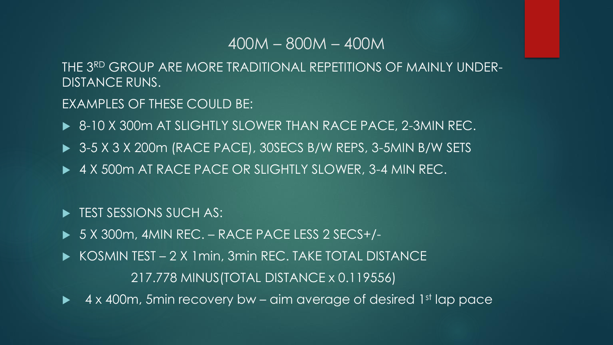THE 3RD GROUP ARE MORE TRADITIONAL REPETITIONS OF MAINLY UNDER-DISTANCE RUNS.

EXAMPLES OF THESE COULD BE:

- ▶ 8-10 X 300m AT SLIGHTLY SLOWER THAN RACE PACE, 2-3MIN REC.
- ▶ 3-5 X 3 X 200m (RACE PACE), 30SECS B/W REPS, 3-5MIN B/W SETS
- ▶ 4 X 500m AT RACE PACE OR SLIGHTLY SLOWER, 3-4 MIN REC.

**FILM** TEST SESSIONS SUCH AS:

- ► 5 X 300m, 4MIN REC. RACE PACE LESS 2 SECS+/-
- ▶ KOSMIN TEST 2 X 1 min, 3 min REC. TAKE TOTAL DISTANCE 217.778 MINUS(TOTAL DISTANCE x 0.119556)
- $\blacktriangleright$  4 x 400m, 5min recovery bw aim average of desired 1st lap pace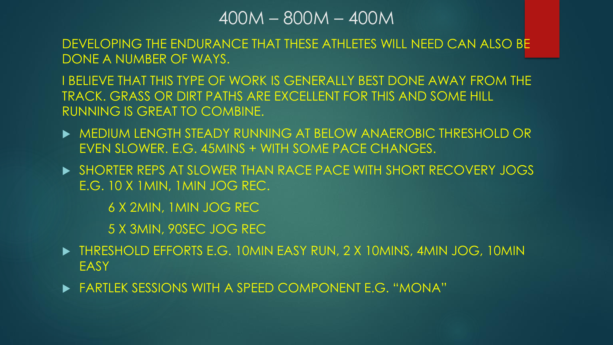DEVELOPING THE ENDURANCE THAT THESE ATHLETES WILL NEED CAN ALSO BE DONE A NUMBER OF WAYS.

I BELIEVE THAT THIS TYPE OF WORK IS GENERALLY BEST DONE AWAY FROM THE TRACK. GRASS OR DIRT PATHS ARE EXCELLENT FOR THIS AND SOME HILL RUNNING IS GREAT TO COMBINE.

- MEDIUM LENGTH STEADY RUNNING AT BELOW ANAEROBIC THRESHOLD OR EVEN SLOWER. E.G. 45MINS + WITH SOME PACE CHANGES.
- **BE SHORTER REPS AT SLOWER THAN RACE PACE WITH SHORT RECOVERY JOGS** E.G. 10 X 1MIN, 1MIN JOG REC.

6 X 2MIN, 1MIN JOG REC

5 X 3MIN, 90SEC JOG REC

- ▶ THRESHOLD EFFORTS E.G. 10MIN EASY RUN, 2 X 10MINS, 4MIN JOG, 10MIN **EASY**
- FARTLEK SESSIONS WITH A SPEED COMPONENT E.G. "MONA"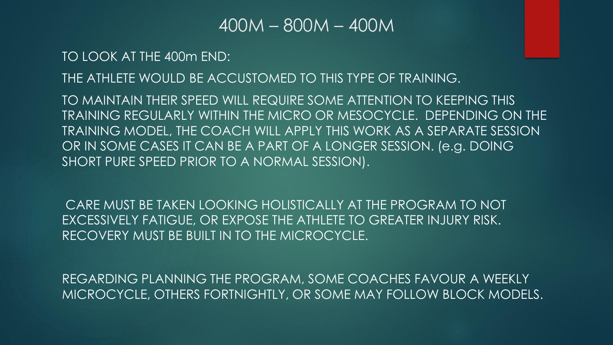TO LOOK AT THE 400m END:

THE ATHLETE WOULD BE ACCUSTOMED TO THIS TYPE OF TRAINING.

TO MAINTAIN THEIR SPEED WILL REQUIRE SOME ATTENTION TO KEEPING THIS TRAINING REGULARLY WITHIN THE MICRO OR MESOCYCLE. DEPENDING ON THE TRAINING MODEL, THE COACH WILL APPLY THIS WORK AS A SEPARATE SESSION OR IN SOME CASES IT CAN BE A PART OF A LONGER SESSION. (e.g. DOING SHORT PURE SPEED PRIOR TO A NORMAL SESSION).

CARE MUST BE TAKEN LOOKING HOLISTICALLY AT THE PROGRAM TO NOT EXCESSIVELY FATIGUE, OR EXPOSE THE ATHLETE TO GREATER INJURY RISK. RECOVERY MUST BE BUILT IN TO THE MICROCYCLE.

REGARDING PLANNING THE PROGRAM, SOME COACHES FAVOUR A WEEKLY MICROCYCLE, OTHERS FORTNIGHTLY, OR SOME MAY FOLLOW BLOCK MODELS.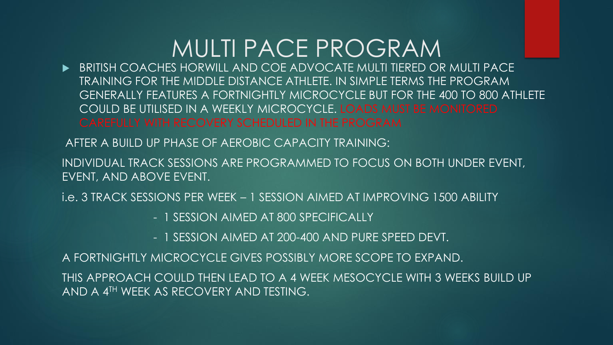# MULTI PACE PROGRAM

 BRITISH COACHES HORWILL AND COE ADVOCATE MULTI TIERED OR MULTI PACE TRAINING FOR THE MIDDLE DISTANCE ATHLETE. IN SIMPLE TERMS THE PROGRAM GENERALLY FEATURES A FORTNIGHTLY MICROCYCLE BUT FOR THE 400 TO 800 ATHLETE COULD BE UTILISED IN A WEEKLY MICROCYCLE. LOADS MUST BE MONITORED CAREFULLY WITH RECOVERY SCHEDULED IN THE PROGRAM

AFTER A BUILD UP PHASE OF AEROBIC CAPACITY TRAINING:

INDIVIDUAL TRACK SESSIONS ARE PROGRAMMED TO FOCUS ON BOTH UNDER EVENT, EVENT, AND ABOVE EVENT.

i.e. 3 TRACK SESSIONS PER WEEK – 1 SESSION AIMED AT IMPROVING 1500 ABILITY

- 1 SESSION AIMED AT 800 SPECIFICALLY

- 1 SESSION AIMED AT 200-400 AND PURE SPEED DEVT.

A FORTNIGHTLY MICROCYCLE GIVES POSSIBLY MORE SCOPE TO EXPAND.

THIS APPROACH COULD THEN LEAD TO A 4 WEEK MESOCYCLE WITH 3 WEEKS BUILD UP AND A 4TH WEEK AS RECOVERY AND TESTING.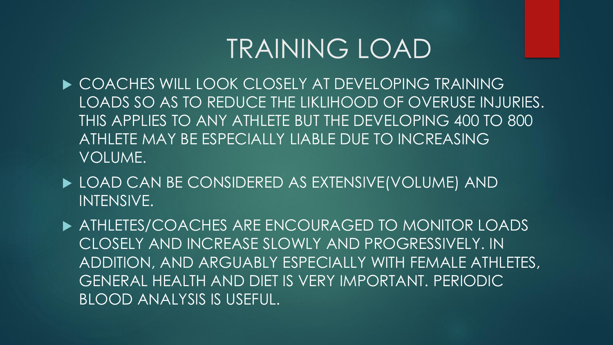# TRAINING LOAD

- ▶ COACHES WILL LOOK CLOSELY AT DEVELOPING TRAINING LOADS SO AS TO REDUCE THE LIKLIHOOD OF OVERUSE INJURIES. THIS APPLIES TO ANY ATHLETE BUT THE DEVELOPING 400 TO 800 ATHLETE MAY BE ESPECIALLY LIABLE DUE TO INCREASING VOLUME.
- ▶ LOAD CAN BE CONSIDERED AS EXTENSIVE(VOLUME) AND INTENSIVE.
- **ATHLETES/COACHES ARE ENCOURAGED TO MONITOR LOADS** CLOSELY AND INCREASE SLOWLY AND PROGRESSIVELY. IN ADDITION, AND ARGUABLY ESPECIALLY WITH FEMALE ATHLETES, GENERAL HEALTH AND DIET IS VERY IMPORTANT. PERIODIC BLOOD ANALYSIS IS USEFUL.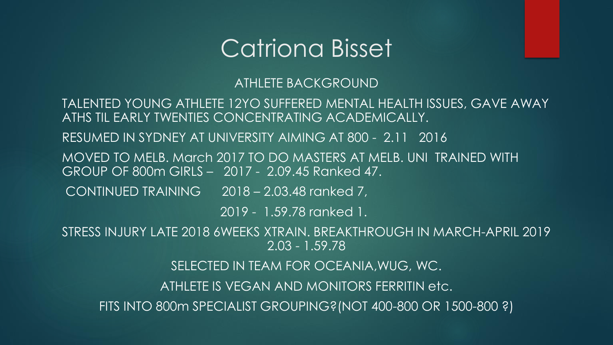# Catriona Bisset

#### ATHLETE BACKGROUND

TALENTED YOUNG ATHLETE 12YO SUFFERED MENTAL HEALTH ISSUES, GAVE AWAY ATHS TIL EARLY TWENTIES CONCENTRATING ACADEMICALLY. RESUMED IN SYDNEY AT UNIVERSITY AIMING AT 800 - 2.11 2016 MOVED TO MELB. March 2017 TO DO MASTERS AT MELB. UNI TRAINED WITH GROUP OF 800m GIRLS – 2017 - 2.09.45 Ranked 47. CONTINUED TRAINING 2018 – 2.03.48 ranked 7, 2019 - 1.59.78 ranked 1. STRESS INJURY LATE 2018 6WEEKS XTRAIN. BREAKTHROUGH IN MARCH-APRIL 2019 2.03 - 1.59.78 SELECTED IN TEAM FOR OCEANIA,WUG, WC. ATHLETE IS VEGAN AND MONITORS FERRITIN etc. FITS INTO 800m SPECIALIST GROUPING?(NOT 400-800 OR 1500-800 ?)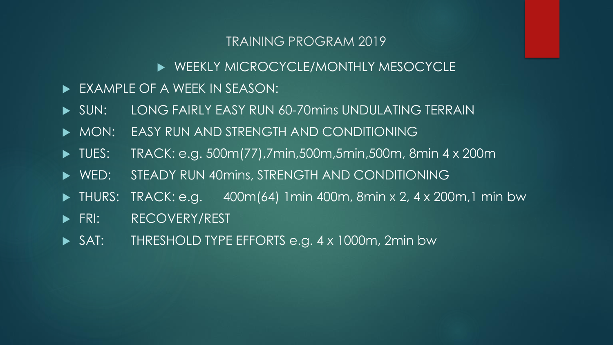#### TRAINING PROGRAM 2019

### WEEKLY MICROCYCLE/MONTHLY MESOCYCLE

- EXAMPLE OF A WEEK IN SEASON:
- SUN: LONG FAIRLY EASY RUN 60-70mins UNDULATING TERRAIN
- MON: EASY RUN AND STRENGTH AND CONDITIONING
- ▶ TUES: TRACK: e.g. 500m(77),7min,500m,5min,500m, 8min 4 x 200m
- WED: STEADY RUN 40mins, STRENGTH AND CONDITIONING
- $\blacktriangleright$  THURS: TRACK: e.g. 400m(64) 1min 400m, 8min x 2, 4 x 200m, 1 min bw
- **FRI: RECOVERY/REST**
- SAT: THRESHOLD TYPE EFFORTS e.g. 4 x 1000m, 2min bw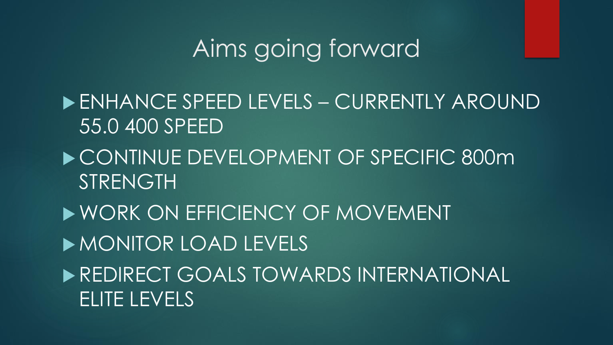# Aims going forward

- ENHANCE SPEED LEVELS CURRENTLY AROUND 55.0 400 SPEED
- ▶ CONTINUE DEVELOPMENT OF SPECIFIC 800m STRENGTH
- WORK ON EFFICIENCY OF MOVEMENT

MONITOR LOAD LEVELS

**REDIRECT GOALS TOWARDS INTERNATIONAL** ELITE LEVELS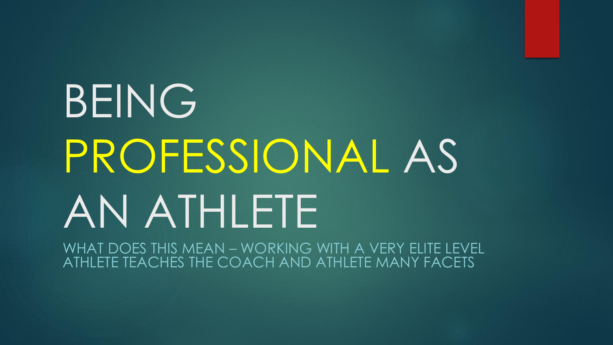# BEING PROFESSIONAL AS AN ATHLETE

WHAT DOES THIS MEAN – WORKING WITH A VERY ELITE LEVEL ATHLETE TEACHES THE COACH AND ATHLETE MANY FACETS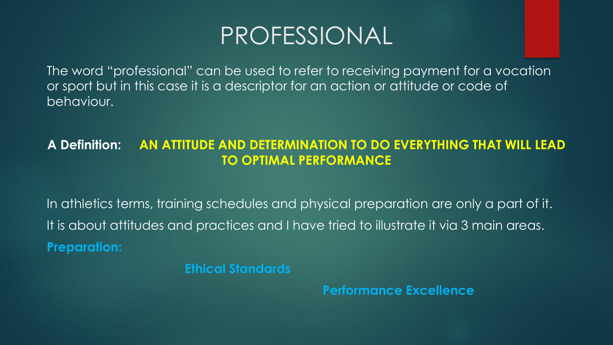# PROFESSIONAL

The word "professional" can be used to refer to receiving payment for a vocation or sport but in this case it is a descriptor for an action or attitude or code of behaviour.

### **A Definition: AN ATTITUDE AND DETERMINATION TO DO EVERYTHING THAT WILL LEAD TO OPTIMAL PERFORMANCE**

In athletics terms, training schedules and physical preparation are only a part of it. It is about attitudes and practices and I have tried to illustrate it via 3 main areas. **Preparation:**

**Ethical Standards**

**Performance Excellence**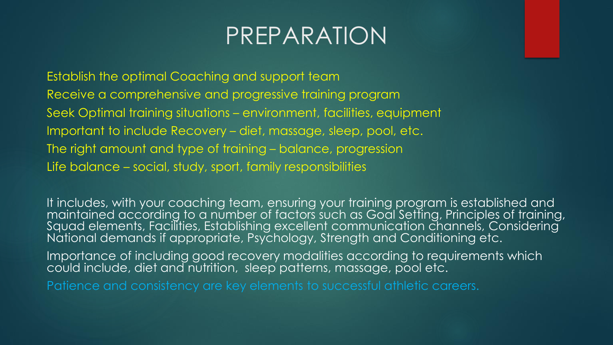# PREPARATION

Establish the optimal Coaching and support team Receive a comprehensive and progressive training program Seek Optimal training situations – environment, facilities, equipment Important to include Recovery – diet, massage, sleep, pool, etc. The right amount and type of training – balance, progression Life balance – social, study, sport, family responsibilities

It includes, with your coaching team, ensuring your training program is established and maintained according to a number of factors such as Goal Setting, Principles of training, Squad elements, Facilities, Establishing excellent communication channels, Considering National demands if appropriate, Psychology, Strength and Conditioning etc.

Importance of including good recovery modalities according to requirements which could include, diet and nutrition, sleep patterns, massage, pool etc.

Patience and consistency are key elements to successful athletic careers.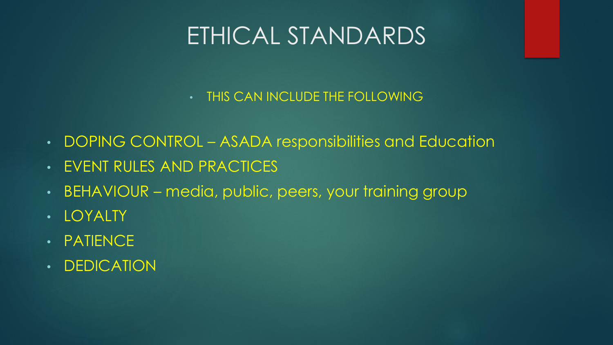# ETHICAL STANDARDS

- THIS CAN INCLUDE THE FOLLOWING
- DOPING CONTROL ASADA responsibilities and Education
- EVENT RULES AND PRACTICES
- BEHAVIOUR media, public, peers, your training group
- LOYALTY
- PATIENCE
- DEDICATION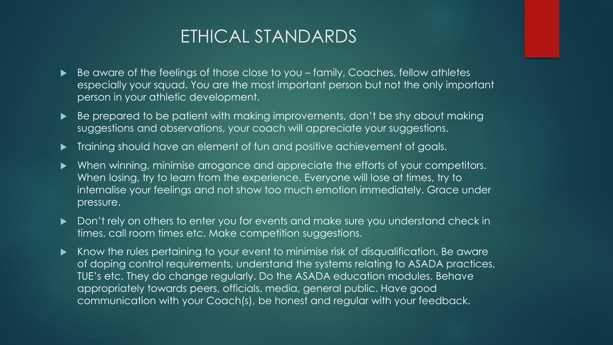# ETHICAL STANDARDS

- Be aware of the feelings of those close to you family, Coaches, fellow athletes especially your squad. You are the most important person but not the only important person in your athletic development.
- Be prepared to be patient with making improvements, don't be shy about making suggestions and observations, your coach will appreciate your suggestions.
- Training should have an element of fun and positive achievement of goals.
- When winning, minimise arrogance and appreciate the efforts of your competitors. When losing, try to learn from the experience. Everyone will lose at times, try to internalise your feelings and not show too much emotion immediately. Grace under pressure.
- Don't rely on others to enter you for events and make sure you understand check in times, call room times etc. Make competition suggestions.
- Know the rules pertaining to your event to minimise risk of disqualification. Be aware of doping control requirements, understand the systems relating to ASADA practices, TUE's etc. They do change regularly. Do the ASADA education modules. Behave appropriately towards peers, officials, media, general public. Have good communication with your Coach(s), be honest and regular with your feedback.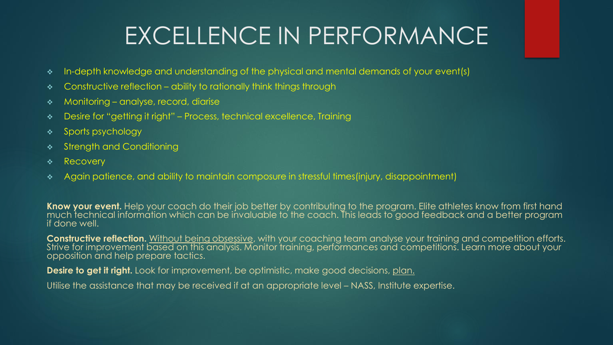# EXCELLENCE IN PERFORMANCE

- ❖ In-depth knowledge and understanding of the physical and mental demands of your event(s)
- ❖ Constructive reflection ability to rationally think things through
- ❖ Monitoring analyse, record, diarise
- ❖ Desire for "getting it right" Process, technical excellence, Training
- ❖ Sports psychology
- ❖ Strength and Conditioning
- ❖ Recovery
- ❖ Again patience, and ability to maintain composure in stressful times(injury, disappointment)

**Know your event.** Help your coach do their job better by contributing to the program. Elite athletes know from first hand much technical information which can be invaluable to the coach. This leads to good feedback and a better program if done well.

**Constructive reflection.** Without being obsessive, with your coaching team analyse your training and competition efforts. Strive for improvement based on this analysis. Monitor training, performances and competitions. Learn more about your opposition and help prepare tactics.

**Desire to get it right.** Look for improvement, be optimistic, make good decisions, plan.

Utilise the assistance that may be received if at an appropriate level – NASS, Institute expertise.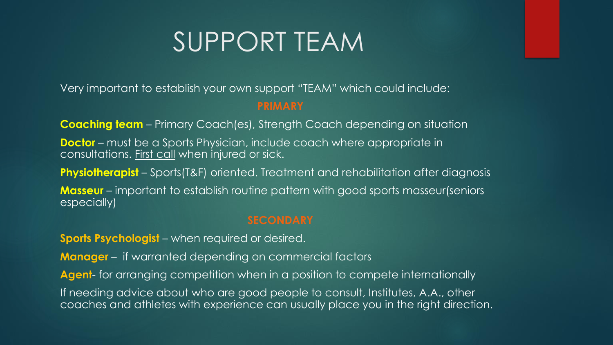# SUPPORT TEAM

Very important to establish your own support "TEAM" which could include:

#### **PRIMARY**

**Coaching team** – Primary Coach(es), Strength Coach depending on situation

**Doctor** – must be a Sports Physician, include coach where appropriate in consultations. First call when injured or sick.

**Physiotherapist** – Sports(T&F) oriented. Treatment and rehabilitation after diagnosis

**Masseur** – important to establish routine pattern with good sports masseur(seniors especially)

#### **SECONDARY**

**Sports Psychologist** – when required or desired.

**Manager** – if warranted depending on commercial factors

**Agent**- for arranging competition when in a position to compete internationally

If needing advice about who are good people to consult, Institutes, A.A., other coaches and athletes with experience can usually place you in the right direction.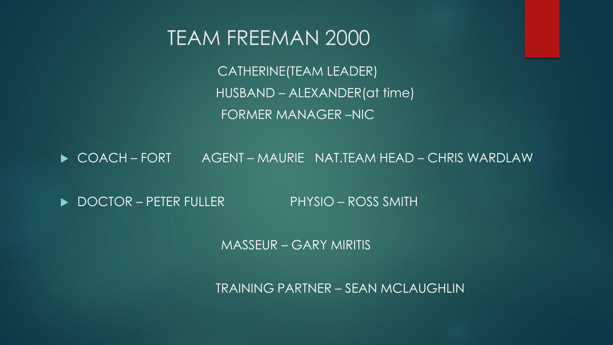# TEAM FREEMAN 2000

CATHERINE(TEAM LEADER) HUSBAND – ALEXANDER(at time) FORMER MANAGER –NIC

COACH – FORT AGENT – MAURIE NAT.TEAM HEAD – CHRIS WARDLAW

▶ DOCTOR – PETER FULLER PHYSIO – ROSS SMITH

MASSEUR – GARY MIRITIS

TRAINING PARTNER – SEAN MCLAUGHLIN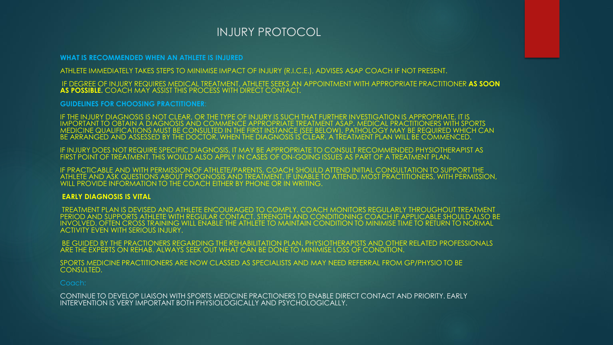#### INJURY PROTOCOL

**WHAT IS RECOMMENDED WHEN AN ATHLETE IS INJURED**

ATHLETE IMMEDIATELY TAKES STEPS TO MINIMISE IMPACT OF INJURY (R.I.C.E.), ADVISES ASAP COACH IF NOT PRESENT.

IF DEGREE OF INJURY REQUIRES MEDICAL TREATMENT, ATHLETE SEEKS AN APPOINTMENT WITH APPROPRIATE PRACTITIONER **AS SOON AS POSSIBLE.** COACH MAY ASSIST THIS PROCESS WITH DIRECT CONTACT.

**GUIDELINES FOR CHOOSING PRACTITIONER**:

IF THE INJURY DIAGNOSIS IS NOT CLEAR, OR THE TYPE OF INJURY IS SUCH THAT FURTHER INVESTIGATION IS APPROPRIATE, IT IS IMPORTANT TO OBTAIN A DIAGNOSIS AND COMMENCE APPROPRIATE TREATMENT ASAP. MEDICAL PRACTITIONERS WITH SPORTS MEDICINE QUALIFICATIONS MUST BE CONSULTED IN THE FIRST INSTANCE (SEE BELOW). PATHOLOGY MAY BE REQUIRED WHICH CAN BE ARRANGED AND ASSESSED BY THE DOCTOR. WHEN THE DIAGNOSIS IS CLEAR, A TREATMENT PLAN WILL BE COMMENCED.

IF INJURY DOES NOT REQUIRE SPECIFIC DIAGNOSIS, IT MAY BE APPROPRIATE TO CONSULT RECOMMENDED PHYSIOTHERAPIST AS FIRST POINT OF TREATMENT. THIS WOULD ALSO APPLY IN CASES OF ON-GOING ISSUES AS PART OF A TREATMENT PLAN.

IF PRACTICABLE AND WITH PERMISSION OF ATHLETE/PARENTS, COACH SHOULD ATTEND INITIAL CONSULTATION TO SUPPORT THE ATHLETE AND ASK QUESTIONS ABOUT PROGNOSIS AND TREATMENT. IF UNABLE TO ATTEND, MOST PRACTITIONERS, WITH PERMISSION, WILL PROVIDE INFORMATION TO THE COACH EITHER BY PHONE OR IN WRITING.

#### **EARLY DIAGNOSIS IS VITAL**

TREATMENT PLAN IS DEVISED AND ATHLETE ENCOURAGED TO COMPLY. COACH MONITORS REGULARLY THROUGHOUT TREATMENT PERIOD AND SUPPORTS ATHLETE WITH REGULAR CONTACT. STRENGTH AND CONDITIONING COACH IF APPLICABLE SHOULD ALSO BE INVOLVED. OFTEN CROSS TRAINING WILL ENABLE THE ATHLETE TO MAINTAIN CONDITION TO MINIMISE TIME TO RETURN TO NORMAL ACTIVITY EVEN WITH SERIOUS INJURY.

BE GUIDED BY THE PRACTIONERS REGARDING THE REHABILITATION PLAN. PHYSIOTHERAPISTS AND OTHER RELATED PROFESSIONALS ARE THE EXPERTS ON REHAB. ALWAYS SEEK OUT WHAT CAN BE DONE TO MINIMISE LOSS OF CONDITION.

SPORTS MEDICINE PRACTITIONERS ARE NOW CLASSED AS SPECIALISTS AND MAY NEED REFERRAL FROM GP/PHYSIO TO BE CONSULTED.

CONTINUE TO DEVELOP LIAISON WITH SPORTS MEDICINE PRACTIONERS TO ENABLE DIRECT CONTACT AND PRIORITY. EARLY INTERVENTION IS VERY IMPORTANT BOTH PHYSIOLOGICALLY AND PSYCHOLOGICALLY.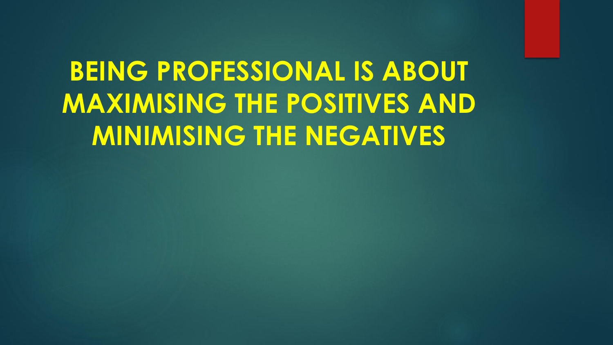# **BEING PROFESSIONAL IS ABOUT MAXIMISING THE POSITIVES AND MINIMISING THE NEGATIVES**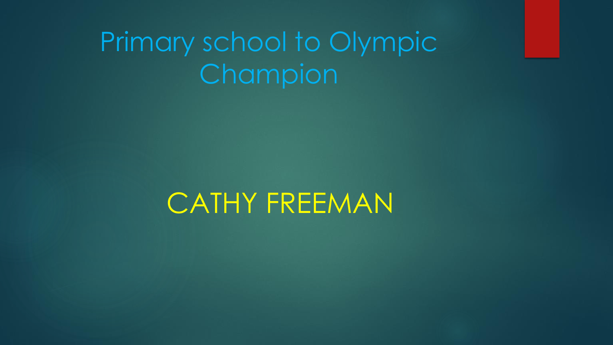# Primary school to Olympic Champion

CATHY FREEMAN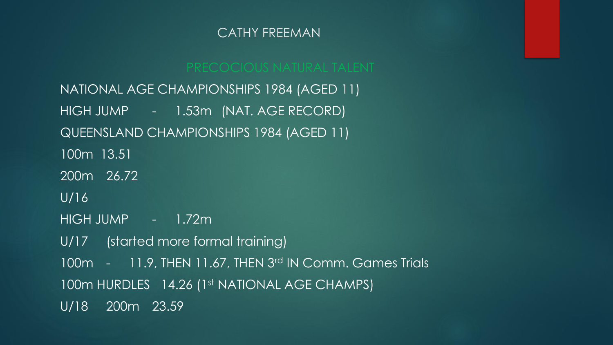NATIONAL AGE CHAMPIONSHIPS 1984 (AGED 11) HIGH JUMP - 1.53m (NAT. AGE RECORD) QUEENSLAND CHAMPIONSHIPS 1984 (AGED 11) 100m 13.51 200m 26.72 U/16 HIGH JUMP - 1.72m U/17 (started more formal training) 100m - 11.9, THEN 11.67, THEN 3rd IN Comm. Games Trials 100m HURDLES 14.26 (1st NATIONAL AGE CHAMPS) U/18 200m 23.59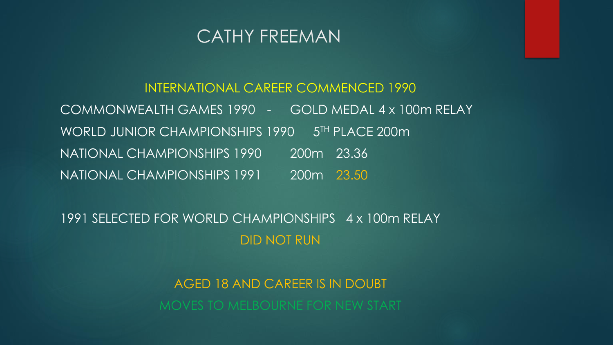

# INTERNATIONAL CAREER COMMENCED 1990 COMMONWEALTH GAMES 1990 - GOLD MEDAL 4 x 100m RELAY WORLD JUNIOR CHAMPIONSHIPS 1990 5<sup>TH</sup> PLACE 200m NATIONAL CHAMPIONSHIPS 1990 200m 23.36 NATIONAL CHAMPIONSHIPS 1991 200m 23.50

1991 SELECTED FOR WORLD CHAMPIONSHIPS 4 x 100m RELAY DID NOT RUN

AGED 18 AND CAREER IS IN DOUBT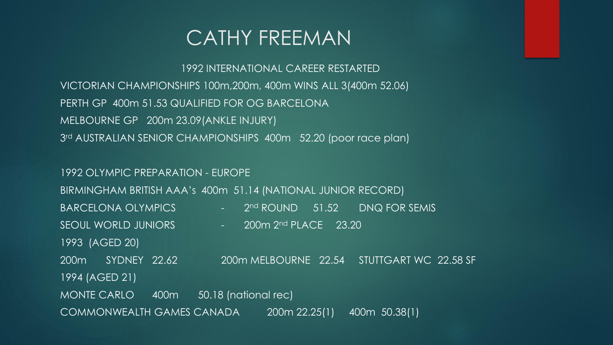1992 INTERNATIONAL CAREER RESTARTED VICTORIAN CHAMPIONSHIPS 100m,200m, 400m WINS ALL 3(400m 52.06) PERTH GP 400m 51.53 QUALIFIED FOR OG BARCELONA MELBOURNE GP 200m 23.09(ANKLE INJURY) 3 rd AUSTRALIAN SENIOR CHAMPIONSHIPS 400m 52.20 (poor race plan)

1992 OLYMPIC PREPARATION - EUROPE BIRMINGHAM BRITISH AAA's 400m 51.14 (NATIONAL JUNIOR RECORD) BARCELONA OLYMPICS  $\begin{array}{ccc} - & 2^{\text{nd}} & \text{ROUND} & 51.52 & \text{DNA FOR SEMIS} \end{array}$ SEOUL WORLD JUNIORS - 200m 2<sup>nd</sup> PLACE 23.20 1993 (AGED 20) 200m SYDNEY 22.62 200m MELBOURNE 22.54 STUTTGART WC 22.58 SF 1994 (AGED 21) MONTE CARLO 400m 50.18 (national rec) COMMONWEALTH GAMES CANADA 200m 22.25(1) 400m 50.38(1)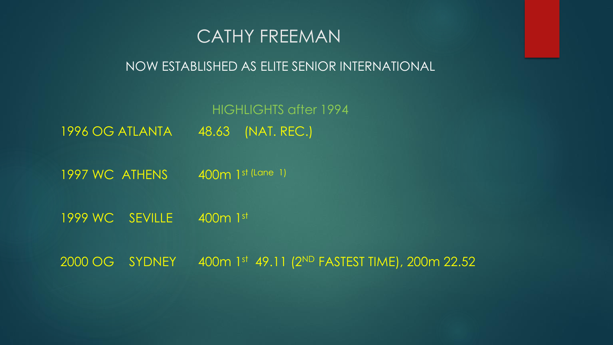

### NOW ESTABLISHED AS ELITE SENIOR INTERNATIONAL

HIGHLIGHTS after 1994 1996 OG ATLANTA 48.63 (NAT. REC.)

1997 WC ATHENS 400m 1st (Lane 1)

1999 WC SEVILLE 400m 1st

2000 OG SYDNEY 400m 1st 49.11 (2ND FASTEST TIME), 200m 22.52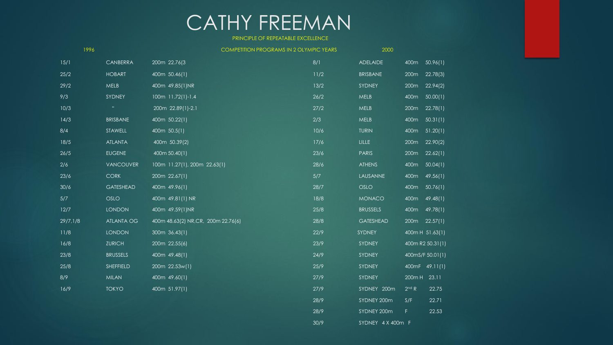#### PRINCIPLE OF REPEATABLE EXCELLENCE

|          | 1996             |                                     | <b>COMPETITION PROGRAMS IN 2 OLYMPIC YEARS</b> | 2000             |                   |                  |
|----------|------------------|-------------------------------------|------------------------------------------------|------------------|-------------------|------------------|
| 15/1     | CANBERRA         | 200m 22.76(3                        | 8/1                                            | <b>ADELAIDE</b>  | 400m              | 50.96(1)         |
| 25/2     | <b>HOBART</b>    | 400m 50.46(1)                       | $11/2$                                         | <b>BRISBANE</b>  | 200 <sub>m</sub>  | 22.78(3)         |
| 29/2     | MELB             | 400m 49.85(1)NR                     | 13/2                                           | SYDNEY           | 200 <sub>m</sub>  | 22.94(2)         |
| 9/3      | SYDNEY           | 100m 11.72(1)-1.4                   | 26/2                                           | MELB             | 400m              | 50.00(1)         |
| 10/3     | $\mathbf{H}$     | 200m 22.89(1)-2.1                   | 27/2                                           | MELB             | 200 <sub>m</sub>  | 22.78(1)         |
| 14/3     | <b>BRISBANE</b>  | 400m 50.22(1)                       | 2/3                                            | MELB             | 400m              | 50.31(1)         |
| 8/4      | STAWELL          | 400m 50.5(1)                        | 10/6                                           | <b>TURIN</b>     | 400m              | 51.20(1)         |
| 18/5     | <b>ATLANTA</b>   | 400m 50.39(2)                       | 17/6                                           | LILLE            | 200 <sub>m</sub>  | 22.90(2)         |
| 26/5     | <b>EUGENE</b>    | 400m 50.40(1)                       | 23/6                                           | <b>PARIS</b>     | 200 <sub>m</sub>  | 22.62(1)         |
| 2/6      | <b>VANCOUVER</b> | 100m 11.27(1), 200m 22.63(1)        | 28/6                                           | <b>ATHENS</b>    | 400m              | 50.04(1)         |
| 23/6     | <b>CORK</b>      | 200m 22.67(1)                       | 5/7                                            | LAUSANNE         | 400m              | 49.56(1)         |
| 30/6     | <b>GATESHEAD</b> | 400m 49.96(1)                       | 28/7                                           | <b>OSLO</b>      | 400m              | 50.76(1)         |
| 5/7      | <b>OSLO</b>      | 400m 49.81(1) NR                    | 18/8                                           | <b>MONACO</b>    | 400m              | 49.48(1)         |
| 12/7     | <b>LONDON</b>    | 400m 49.59(1)NR                     | 25/8                                           | <b>BRUSSELS</b>  | 400m              | 49.78(1)         |
| 29/7,1/8 | ATLANTA OG       | 400m 48.63(2) NR, CR, 200m 22.76(6) | 28/8                                           | <b>GATESHEAD</b> | 200m              | 22.57(1)         |
| 11/8     | <b>LONDON</b>    | 300m 36.43(1)                       | 22/9                                           | SYDNEY           |                   | 400mH 51.63(1)   |
| 16/8     | <b>ZURICH</b>    | 200m 22.55(6)                       | 23/9                                           | SYDNEY           |                   | 400m R2 50.31(1) |
| 23/8     | <b>BRUSSELS</b>  | 400m 49.48(1)                       | 24/9                                           | SYDNEY           |                   | 400mS/F 50.01(1) |
| 25/8     | SHEFFIELD        | $200m$ 22.53w(1)                    | 25/9                                           | SYDNEY           |                   | 400mF 49.11(1)   |
| 8/9      | <b>MILAN</b>     | 400m 49.60(1)                       | 27/9                                           | SYDNEY           | 200m H            | 23.11            |
| 16/9     | <b>TOKYO</b>     | 400m $51.97(1)$                     | 27/9                                           | SYDNEY 200m      | 2 <sup>nd</sup> R | 22.75            |
|          |                  |                                     | 28/9                                           | SYDNEY 200m      | S/F               | 22.71            |
|          |                  |                                     | 28/9                                           | SYDNEY 200m      | F                 | 22.53            |

30/9 SYDNEY 4 X 400m F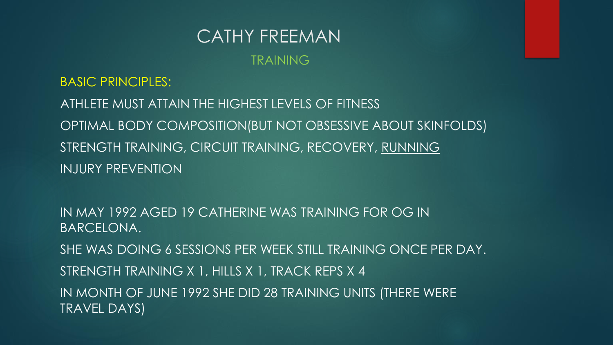#### TRAINING

BASIC PRINCIPLES: ATHLETE MUST ATTAIN THE HIGHEST LEVELS OF FITNESS OPTIMAL BODY COMPOSITION(BUT NOT OBSESSIVE ABOUT SKINFOLDS) STRENGTH TRAINING, CIRCUIT TRAINING, RECOVERY, RUNNING INJURY PREVENTION

IN MAY 1992 AGED 19 CATHERINE WAS TRAINING FOR OG IN BARCELONA. SHE WAS DOING 6 SESSIONS PER WEEK STILL TRAINING ONCE PER DAY. STRENGTH TRAINING X 1, HILLS X 1, TRACK REPS X 4 IN MONTH OF JUNE 1992 SHE DID 28 TRAINING UNITS (THERE WERE TRAVEL DAYS)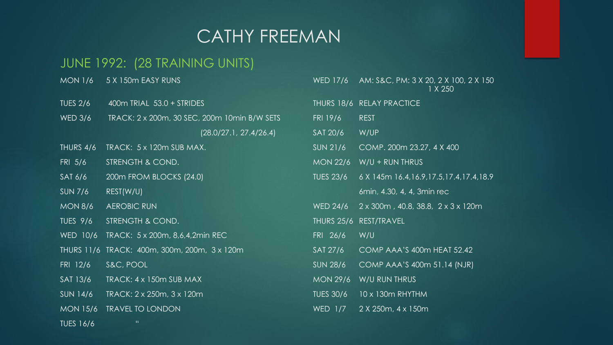# JUNE 1992: (28 TRAINING UNITS)

| $IV^{\prime}$ UIN 1/0 | U A TUUTTEAJI NUNJ                           |                   | $V^\prime$ $U^\prime$ $U^\prime$ $U^\prime$ $U^\prime$ $U^\prime$ $U^\prime$ $U^\prime$ $U^\prime$ $U^\prime$ $U^\prime$ $U^\prime$ $U^\prime$ $U^\prime$ $U^\prime$ $U^\prime$ $U^\prime$ $U^\prime$ $U^\prime$ $U^\prime$ $U^\prime$ $U^\prime$ $U^\prime$ $U^\prime$ $U^\prime$ $U^\prime$ $U^\prime$ $U^\prime$ $U^\prime$ $U^\prime$ $U^\prime$ $U^\prime$ $U^\prime$ $U^\prime$ $U^\prime$ $U^\prime$ $U^\prime$<br>$1 \times 250$ |
|-----------------------|----------------------------------------------|-------------------|------------------------------------------------------------------------------------------------------------------------------------------------------------------------------------------------------------------------------------------------------------------------------------------------------------------------------------------------------------------------------------------------------------------------------------------|
| <b>TUES 2/6</b>       | 400m TRIAL 53.0 + STRIDES                    |                   | THURS 18/6 RELAY PRACTICE                                                                                                                                                                                                                                                                                                                                                                                                                |
| <b>WED 3/6</b>        | TRACK: 2 x 200m, 30 SEC, 200m 10min B/W SETS | FRI 19/6          | REST                                                                                                                                                                                                                                                                                                                                                                                                                                     |
|                       | (28.0/27.1, 27.4/26.4)                       | SAT 20/6          | W/UP                                                                                                                                                                                                                                                                                                                                                                                                                                     |
| THURS 4/6             | TRACK: 5 x 120m SUB MAX.                     | SUN 21/6          | COMP. 200m 23.27, 4 X 400                                                                                                                                                                                                                                                                                                                                                                                                                |
| FRI 5/6               | STRENGTH & COND.                             | <b>MON 22/6</b>   | $W/U + RUN$ THRUS                                                                                                                                                                                                                                                                                                                                                                                                                        |
| SAT 6/6               | 200m FROM BLOCKS (24.0)                      | <b>TUES 23/6</b>  | 6 X 145m 16.4, 16.9, 17.5, 17.4, 17.4, 18.9                                                                                                                                                                                                                                                                                                                                                                                              |
| <b>SUN 7/6</b>        | REST(W/U)                                    |                   | 6min, 4.30, 4, 4, 3min rec                                                                                                                                                                                                                                                                                                                                                                                                               |
| <b>MON 8/6</b>        | <b>AEROBIC RUN</b>                           | <b>WED 24/6</b>   | $2 \times 300$ m, 40.8, 38.8, $2 \times 3 \times 120$ m                                                                                                                                                                                                                                                                                                                                                                                  |
| <b>TUES 9/6</b>       | STRENGTH & COND.                             | <b>THURS 25/6</b> | REST/TRAVEL                                                                                                                                                                                                                                                                                                                                                                                                                              |
| WED 10/6              | TRACK: 5 x 200m, 8,6,4,2min REC              | FRI 26/6          | W/U                                                                                                                                                                                                                                                                                                                                                                                                                                      |
|                       | THURS 11/6 TRACK: 400m, 300m, 200m, 3 x 120m | SAT 27/6          | COMP AAA'S 400m HEAT 52.42                                                                                                                                                                                                                                                                                                                                                                                                               |
| FRI 12/6              | S&C, POOL                                    | <b>SUN 28/6</b>   | COMP AAA'S 400m 51.14 (NJR)                                                                                                                                                                                                                                                                                                                                                                                                              |
| SAT 13/6              | TRACK: 4 x 150m SUB MAX                      | <b>MON 29/6</b>   | W/U RUN THRUS                                                                                                                                                                                                                                                                                                                                                                                                                            |
| SUN 14/6              | TRACK: 2 x 250m, 3 x 120m                    | <b>TUES 30/6</b>  | 10 x 130m RHYTHM                                                                                                                                                                                                                                                                                                                                                                                                                         |
| <b>MON 15/6</b>       | <b>TRAVEL TO LONDON</b>                      | WED $1/7$         | 2 X 250m, 4 x 150m                                                                                                                                                                                                                                                                                                                                                                                                                       |
| <b>TUES 16/6</b>      | $\mathbf{H}$                                 |                   |                                                                                                                                                                                                                                                                                                                                                                                                                                          |

| MON 1/6         | 5 X 150m EASY RUNS                           | <b>WED 17/6</b>  | AM: S&C, PM: 3 X 20, 2 X 100, 2 X 150<br>1 X 250        |
|-----------------|----------------------------------------------|------------------|---------------------------------------------------------|
| <b>TUES 2/6</b> | 400m TRIAL 53.0 + STRIDES                    |                  | THURS 18/6 RELAY PRACTICE                               |
| <b>WED 3/6</b>  | TRACK: 2 x 200m, 30 SEC, 200m 10min B/W SETS | FRI 19/6         | <b>REST</b>                                             |
|                 | (28.0/27.1, 27.4/26.4)                       | SAT 20/6         | W/UP                                                    |
| THURS 4/6       | TRACK: 5 x 120m SUB MAX.                     | SUN 21/6         | COMP. 200m 23.27, 4 X 400                               |
| $FRI$ 5/6       | STRENGTH & COND.                             | <b>MON 22/6</b>  | $W/U + RUN$ THRUS                                       |
| SAT 6/6         | 200m FROM BLOCKS (24.0)                      | <b>TUES 23/6</b> | 6 X 145m 16.4, 16.9, 17.5, 17.4, 17.4, 18.9             |
| SUN 7/6         | REST(W/U)                                    |                  | 6min, 4.30, 4, 4, 3min rec                              |
| <b>MON 8/6</b>  | <b>AEROBIC RUN</b>                           | <b>WED 24/6</b>  | $2 \times 300$ m, 40.8, 38.8, $2 \times 3 \times 120$ m |
| TUES 9/6        | <b>STRENGTH &amp; COND.</b>                  |                  | THURS 25/6 REST/TRAVEL                                  |
|                 | WED 10/6 TRACK: 5 x 200m, 8,6,4,2min REC     | FRI 26/6         | W/U                                                     |
|                 | THURS 11/6 TRACK: 400m, 300m, 200m, 3 x 120m | SAT 27/6         | COMP AAA'S 400m HEAT 52.42                              |
| FRI 12/6        | S&C, POOL                                    | <b>SUN 28/6</b>  | COMP AAA'S 400m 51.14 (NJR)                             |
| SAT 13/6        | TRACK: 4 x 150m SUB MAX                      | <b>MON 29/6</b>  | W/U RUN THRUS                                           |
| $SUN$ 14/6      | TRACK: 2 x 250m, 3 x 120m                    | <b>TUES 30/6</b> | 10 x 130m RHYTHM                                        |
| MON 15/6        | <b>TRAVEL TO LONDON</b>                      | WED 1/7          | 2 X 250m, 4 x 150m                                      |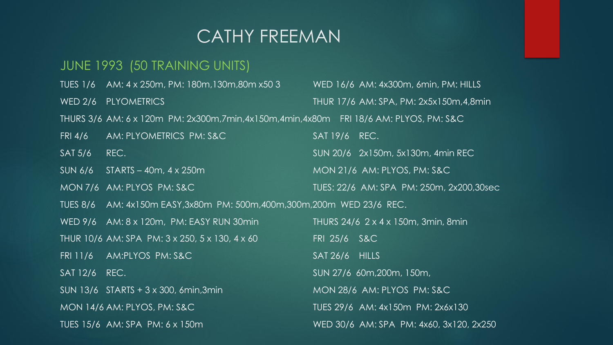#### JUNE 1993 (50 TRAINING UNITS)

TUES 1/6 AM: 4 x 250m, PM: 180m,130m,80m x50 3 WED 16/6 AM: 4x300m, 6min, PM: HILLS WED 2/6 PLYOMETRICS THUR 17/6 AM: SPA, PM: 2x5x150m,4,8min THURS 3/6 AM: 6 x 120m PM: 2x300m,7min,4x150m,4min,4x80m FRI 18/6 AM: PLYOS, PM: S&C FRI 4/6 AM: PLYOMETRICS PM: S&C SAT 19/6 REC. SAT 5/6 REC. SUN 20/6 2x150m, 5x130m, 4min REC SUN 6/6 STARTS – 40m, 4 x 250m MON 7/6 AM: PLYOS PM: S&C TUES: 22/6 AM: SPA PM: 250m, 2x200,30sec TUES 8/6 AM: 4x150m EASY,3x80m PM: 500m,400m,300m,200m WED 23/6 REC. WED 9/6 AM: 8 x 120m, PM: EASY RUN 30min THURS 24/6 2 x 4 x 150m, 3min, 8min THUR 10/6 AM: SPA PM: 3 x 250, 5 x 130, 4 x 60 FRI 25/6 S&C FRI 11/6 AM:PLYOS PM: S&C SAT 26/6 HILLS SAT 12/6 REC. SUN 27/6 60m, 200m, 150m, SUN 13/6 STARTS + 3 x 300, 6min, 3min MON 28/6 AM: PLYOS PM: S&C MON 14/6 AM: PLYOS, PM: S&C TUES 29/6 AM: 4x150m PM: 2x6x130 TUES 15/6 AM: SPA PM: 6 x 150m WED 30/6 AM: SPA PM: 4x60, 3x120, 2x250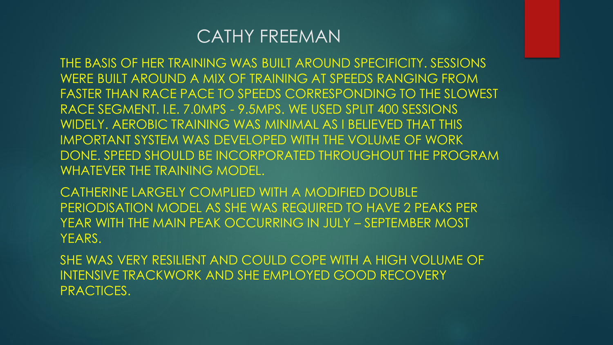THE BASIS OF HER TRAINING WAS BUILT AROUND SPECIFICITY. SESSIONS WERE BUILT AROUND A MIX OF TRAINING AT SPEEDS RANGING FROM FASTER THAN RACE PACE TO SPEEDS CORRESPONDING TO THE SLOWEST RACE SEGMENT. I.E. 7.0MPS - 9.5MPS. WE USED SPLIT 400 SESSIONS WIDELY. AEROBIC TRAINING WAS MINIMAL AS I BELIEVED THAT THIS IMPORTANT SYSTEM WAS DEVELOPED WITH THE VOLUME OF WORK DONE. SPEED SHOULD BE INCORPORATED THROUGHOUT THE PROGRAM WHATEVER THE TRAINING MODEL.

CATHERINE LARGELY COMPLIED WITH A MODIFIED DOUBLE PERIODISATION MODEL AS SHE WAS REQUIRED TO HAVE 2 PEAKS PER YEAR WITH THE MAIN PEAK OCCURRING IN JULY – SEPTEMBER MOST YEARS.

SHE WAS VERY RESILIENT AND COULD COPE WITH A HIGH VOLUME OF INTENSIVE TRACKWORK AND SHE EMPLOYED GOOD RECOVERY PRACTICES.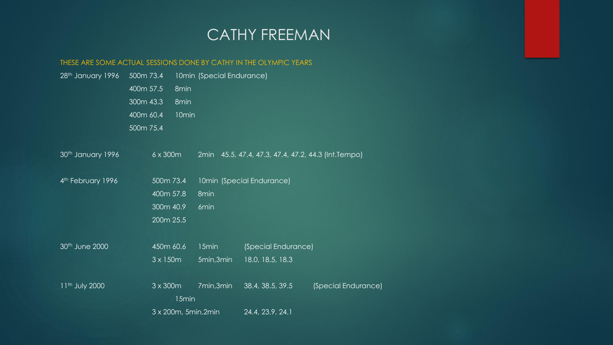#### THESE ARE SOME ACTUAL SESSIONS DONE BY CATHY IN THE OLYMPIC YEARS

| 28th January 1996          | 500m 73.4<br>400m 57.5<br>300m 43.3<br>400m 60.4<br>500m 75.4 | 8min<br>8min<br>10 <sub>min</sub> | 10min (Special Endurance) |                                                     |                     |
|----------------------------|---------------------------------------------------------------|-----------------------------------|---------------------------|-----------------------------------------------------|---------------------|
| 30th January 1996          | 6 x 300m                                                      |                                   |                           | 2min 45.5, 47.4, 47.3, 47.4, 47.2, 44.3 (Int.Tempo) |                     |
| 4th February 1996          | 500m 73.4<br>400m 57.8<br>300m 40.9<br>200m 25.5              |                                   | 8 <sub>min</sub><br>6min  | 10min (Special Endurance)                           |                     |
| 30th June 2000             | 450m 60.6<br>$3 \times 150$ m                                 |                                   | 15min<br>5min,3min        | (Special Endurance)<br>18.0, 18.5, 18.3             |                     |
| 11 <sup>th</sup> July 2000 | $3 \times 300$ m<br>$3 \times 200$ m, 5min, 2min              | 15min                             | 7min,3min                 | 38.4, 38.5, 39.5<br>24.4, 23.9, 24.1                | (Special Endurance) |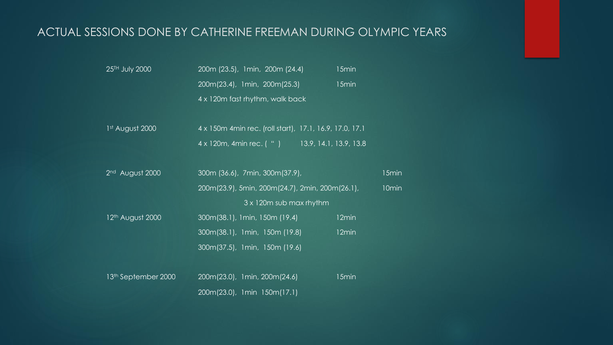## ACTUAL SESSIONS DONE BY CATHERINE FREEMAN DURING OLYMPIC YEARS

| 25TH July 2000                  | 200m (23.5), 1min, 200m (24.4)                           | 15min |       |  |  |
|---------------------------------|----------------------------------------------------------|-------|-------|--|--|
|                                 | 200m(23.4), 1min, 200m(25.3)                             | 15min |       |  |  |
|                                 | 4 x 120m fast rhythm, walk back                          |       |       |  |  |
| 1 <sup>st</sup> August 2000     | 4 x 150m 4 min rec. (roll start), 17.1, 16.9, 17.0, 17.1 |       |       |  |  |
|                                 | 4 x 120m, 4min rec. ( " ) 13.9, 14.1, 13.9, 13.8         |       |       |  |  |
| 2 <sup>nd</sup> August 2000     | 300m (36.6), 7min, 300m (37.9),                          |       | 15min |  |  |
|                                 | 200m(23.9), 5min, 200m(24.7), 2min, 200m(26.1),<br>10min |       |       |  |  |
|                                 | 3 x 120m sub max rhythm                                  |       |       |  |  |
| 12 <sup>th</sup> August 2000    | 300m(38.1), 1min, 150m (19.4)                            | 12min |       |  |  |
|                                 | 300m(38.1), 1min, 150m (19.8)                            | 12min |       |  |  |
|                                 | 300m(37.5), 1min, 150m (19.6)                            |       |       |  |  |
|                                 |                                                          |       |       |  |  |
| 13 <sup>th</sup> September 2000 | 200m(23.0), 1 min, 200m(24.6)                            | 15min |       |  |  |
|                                 | 200m(23.0), 1min 150m(17.1)                              |       |       |  |  |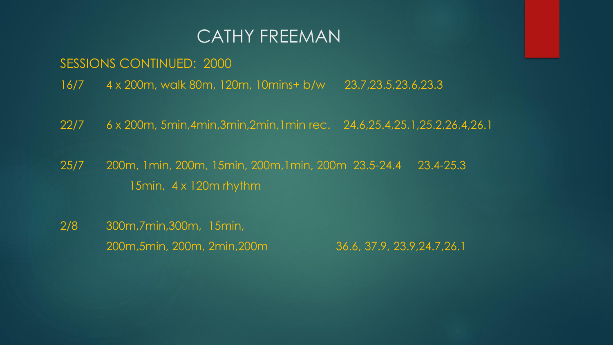SESSIONS CONTINUED: 2000

- 16/7 4 x 200m, walk 80m, 120m, 10mins+ b/w 23.7,23.5,23.6,23.3
- 22/7 6 x 200m, 5min,4min,3min,2min,1min rec. 24.6,25.4,25.1,25.2,26.4,26.1
- 25/7 200m, 1min, 200m, 15min, 200m,1min, 200m 23.5-24.4 23.4-25.3 15min, 4 x 120m rhythm
- 2/8 300m,7min,300m, 15min, 200m,5min, 200m, 2min,200m 36.6, 37.9, 23.9,24.7,26.1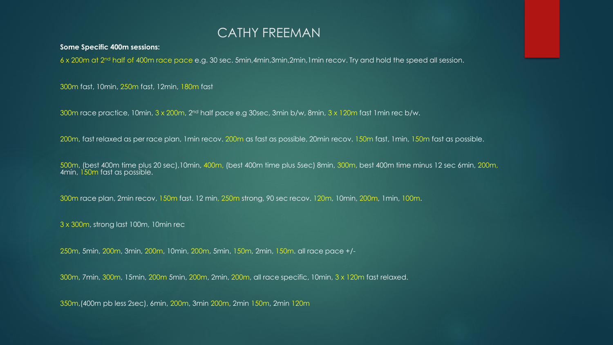#### **Some Specific 400m sessions:**

6 x 200m at 2nd half of 400m race pace e.g. 30 sec. 5min,4min,3min,2min,1min recov. Try and hold the speed all session.

300m fast, 10min, 250m fast, 12min, 180m fast

300m race practice, 10min, 3 x 200m, 2nd half pace e.g 30sec, 3min b/w, 8min, 3 x 120m fast 1min rec b/w.

200m, fast relaxed as per race plan, 1min recov. 200m as fast as possible, 20min recov. 150m fast, 1min, 150m fast as possible.

500m, (best 400m time plus 20 sec),10min, 400m, (best 400m time plus 5sec) 8min, 300m, best 400m time minus 12 sec 6min, 200m, 4min, 150m fast as possible.

300m race plan, 2min recov, 150m fast. 12 min, 250m strong, 90 sec recov. 120m, 10min, 200m, 1min, 100m.

3 x 300m, strong last 100m, 10min rec

250m, 5min, 200m, 3min, 200m, 10min, 200m, 5min, 150m, 2min, 150m. all race pace +/-

300m, 7min, 300m, 15min, 200m 5min, 200m, 2min, 200m, all race specific, 10min, 3 x 120m fast relaxed.

350m,(400m pb less 2sec), 6min, 200m, 3min 200m, 2min 150m, 2min 120m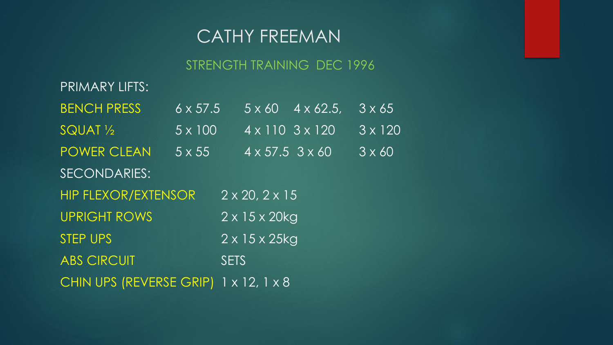## STRENGTH TRAINING DEC 1996

| <b>PRIMARY LIFTS:</b>                 |                         |                               |                               |                |
|---------------------------------------|-------------------------|-------------------------------|-------------------------------|----------------|
| <b>BENCH PRESS</b>                    | $6 \times 57.5$         |                               | $5 \times 60$ $4 \times 62.5$ | $3 \times 65$  |
| SQUAT <sub>1/2</sub>                  | $5 \times 100$          | $4 \times 110$ $3 \times 120$ |                               | $3 \times 120$ |
| <b>POWER CLEAN</b>                    | $\overline{5\times 55}$ | $4 \times 57.5$ 3 $\times$ 60 |                               | $3 \times 60'$ |
| SECONDARIES:                          |                         |                               |                               |                |
| <b>HIP FLEXOR/EXTENSOR</b>            |                         | $2 \times 20, 2 \times 15$    |                               |                |
| <b>UPRIGHT ROWS</b>                   |                         | $2 \times 15 \times 20$ kg    |                               |                |
| <b>STEP UPS</b>                       |                         | $2 \times 15 \times 25$ kg    |                               |                |
| <b>ABS CIRCUIT</b>                    |                         | <b>SETS</b>                   |                               |                |
| CHIN UPS (REVERSE GRIP) 1 x 12, 1 x 8 |                         |                               |                               |                |